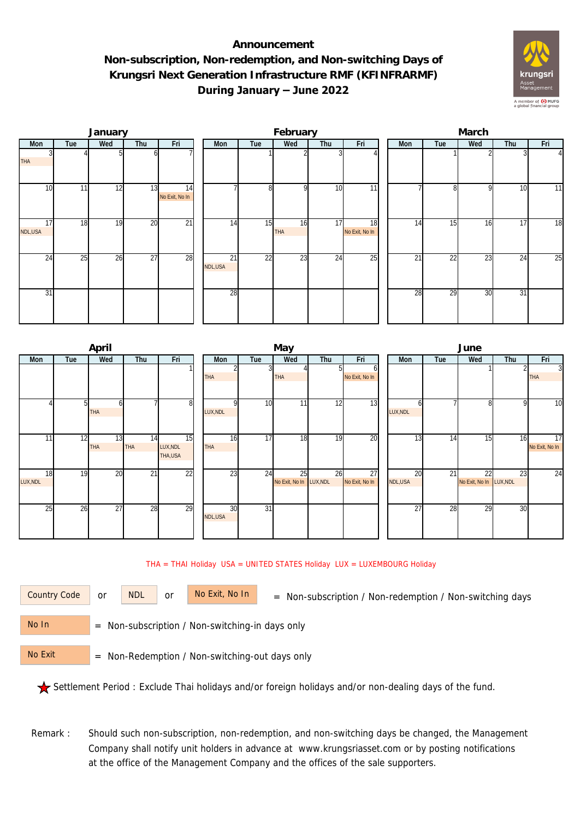## **Announcement Non-subscription, Non-redemption, and Non-switching Days of Krungsri Next Generation Infrastructure RMF (KFINFRARMF) During January – June 2022**



|               |     | January |                 |                      | February      |                 |           |                 |                      |  | March |     |     |     |                 |  |  |
|---------------|-----|---------|-----------------|----------------------|---------------|-----------------|-----------|-----------------|----------------------|--|-------|-----|-----|-----|-----------------|--|--|
| Mon           | Tue | Wed     | Thu             | Fri                  | Mon           | Tue             | Wed       | Thu             | Fri                  |  | Mon   | Tue | Wed | Thu | Fri             |  |  |
| <b>THA</b>    |     |         | ωI              |                      |               |                 |           |                 |                      |  |       |     |     |     | $\Delta$        |  |  |
| 10            | 11  | 12      | 13              | 14<br>No Exit, No In |               | 8               | οI        | 10              | $\overline{11}$      |  |       | 81  | 9   | 10  | 11              |  |  |
| 17<br>NDL,USA | 18  | 19      | 20              | $\overline{21}$      | 14            | 15              | 16<br>THA | 17              | 18<br>No Exit, No In |  | 14    | 15  | 16  | 17  | $\overline{18}$ |  |  |
| 24            | 25  | 26      | $\overline{27}$ | 28                   | 21<br>NDL,USA | $\overline{22}$ | 23        | $2\overline{4}$ | 25                   |  | 21    | 22  | 23  | 24  | 25              |  |  |
| 31            |     |         |                 |                      | 28            |                 |           |                 |                      |  | 28    | 29  | 30  | 31  |                 |  |  |

|          |     | April            |                  |                      |            |     | May                     |                 | June           |                 |     |                         |     |                                   |  |
|----------|-----|------------------|------------------|----------------------|------------|-----|-------------------------|-----------------|----------------|-----------------|-----|-------------------------|-----|-----------------------------------|--|
| Mon      | Tue | Wed              | Thu              | Fri                  | Mon        | Tue | Wed                     | Thu             | Fri            | Mon             | Tue | Wed                     | Thu | Fri                               |  |
|          |     |                  |                  |                      |            |     |                         |                 | b              |                 |     |                         |     | $\overline{3}$                    |  |
|          |     |                  |                  |                      | <b>THA</b> |     | <b>THA</b>              |                 | No Exit, No In |                 |     |                         |     | <b>THA</b>                        |  |
|          |     |                  |                  |                      |            |     |                         |                 |                |                 |     |                         |     |                                   |  |
|          |     |                  |                  |                      |            |     |                         |                 |                |                 |     |                         |     |                                   |  |
|          |     |                  |                  | 8                    |            | 10  | 11                      | $1\overline{2}$ | 13             |                 |     | 81                      | o   | $\overline{10}$                   |  |
|          |     | <b>THA</b>       |                  |                      | LUX, NDL   |     |                         |                 |                | LUX, NDL        |     |                         |     |                                   |  |
|          |     |                  |                  |                      |            |     |                         |                 |                |                 |     |                         |     |                                   |  |
|          |     |                  |                  |                      | 16         | 17  | 18                      | 19              |                |                 | 14  |                         |     |                                   |  |
| 111      | 12  | 13<br><b>THA</b> | 14<br><b>THA</b> | 15                   | <b>THA</b> |     |                         |                 | 20             | 13 <sub>l</sub> |     | 15 <sub>l</sub>         | 16  | $\overline{17}$<br>No Exit, No In |  |
|          |     |                  |                  | LUX, NDL<br>THA, USA |            |     |                         |                 |                |                 |     |                         |     |                                   |  |
|          |     |                  |                  |                      |            |     |                         |                 |                |                 |     |                         |     |                                   |  |
| 18       | 19  | $\overline{20}$  | $\overline{21}$  | 22                   | 23         | 24  | 25                      | 26              | 27             | 20              | 21  | 22                      | 23  | 24                                |  |
| LUX, NDL |     |                  |                  |                      |            |     | No Exit, No In LUX, NDL |                 | No Exit, No In | NDL, USA        |     | No Exit, No In LUX, NDL |     |                                   |  |
|          |     |                  |                  |                      |            |     |                         |                 |                |                 |     |                         |     |                                   |  |
|          |     |                  |                  |                      |            |     |                         |                 |                |                 |     |                         |     |                                   |  |
| 25       | 26  | 27               | 28               | 29                   | 30         | 31  |                         |                 |                | $\overline{27}$ | 28  | 29                      | 30  |                                   |  |
|          |     |                  |                  |                      | NDL,USA    |     |                         |                 |                |                 |     |                         |     |                                   |  |
|          |     |                  |                  |                      |            |     |                         |                 |                |                 |     |                         |     |                                   |  |
|          |     |                  |                  |                      |            |     |                         |                 |                |                 |     |                         |     |                                   |  |

## THA = THAI Holiday USA = UNITED STATES Holiday LUX = LUXEMBOURG Holiday

or NDL or

Country Code or NDL or No Exit, No In = Non-subscription / Non-redemption / Non-switching days

 = Non-subscription / Non-switching-in days only No In

 = Non-Redemption / Non-switching-out days only No Exit

Settlement Period : Exclude Thai holidays and/or foreign holidays and/or non-dealing days of the fund.

Remark : Should such non-subscription, non-redemption, and non-switching days be changed, the Management Company shall notify unit holders in advance at www.krungsriasset.com or by posting notifications at the office of the Management Company and the offices of the sale supporters.